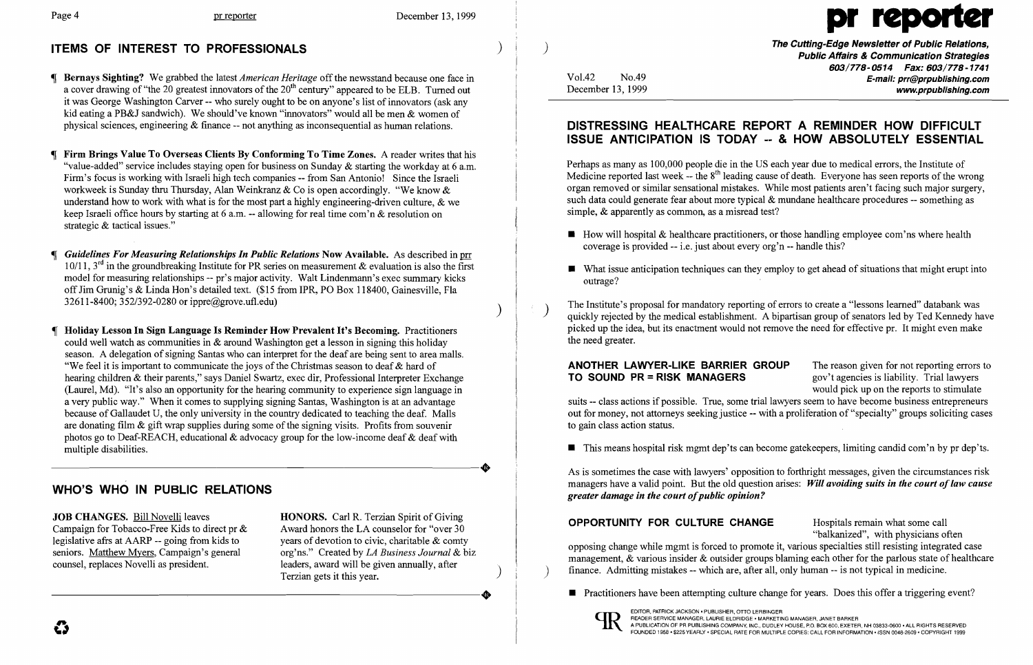

The Cutting-Edge Newsletter of Public Relations,<br>Public Affairs & Communication Strategies<br>Public Affairs & Communication Strategies *603/778-0514 Fax: 603/778-1741*  Vol.42 No.49 **No.49** No.49 **E-mail: prr@prpublishing.com** www.prpublishing.com

 $\blacksquare$  How will hospital & healthcare practitioners, or those handling employee com'ns where health

 $\blacksquare$  What issue anticipation techniques can they employ to get ahead of situations that might erupt into

 $\blacksquare$  This means hospital risk mgmt dep'ts can become gatekeepers, limiting candid com'n by pr dep'ts.

 $\blacksquare$  Practitioners have been attempting culture change for years. Does this offer a triggering event?

- -J Bernays Sighting? We grabbed the latest *American Heritage* off the newsstand because one face in a cover drawing of "the 20 greatest innovators of the 20<sup>th</sup> century" appeared to be ELB. Turned out it was George Washington Carver -- who surely ought to be on anyone's list of innovators (ask any kid eating a PB&J sandwich). We should've known "innovators" would all be men & women of physical sciences, engineering & finance -- not anything as inconsequential as human relations.
- Firm Brings Value To Overseas Clients By Conforming To Time Zones. A reader writes that his "value-added" service includes staying open for business on Sunday  $\&$  starting the workday at 6 a.m. Firm's focus is working with Israeli high tech companies -- from San Antonio! Since the Israeli workweek is Sunday thru Thursday, Alan Weinkranz & Co is open accordingly. "We know & understand how to work with what is for the most part a highly engineering-driven culture,  $\&$  we keep Israeli office hours by starting at 6 a.m. -- allowing for real time com'n & resolution on strategic & tactical issues."
- Guidelines For Measuring Relationships In Public Relations Now Available. As described in prr 10/11, 3<sup>rd</sup> in the groundbreaking Institute for PR series on measurement & evaluation is also the first model for measuring relationships -- pr's major activity. Walt Lindenmann's exec summary kicks off Jim Grunig's & Linda Hon's detailed text. (\$15 from IPR, PO Box 118400, Gainesville, Fla 32611-8400; 352/392-0280 or ippre@grove.ufl.edu) )
- Holiday Lesson In Sign Language Is Reminder How Prevalent It's Becoming. Practitioners could well watch as communities in & around Washington get a lesson in signing this holiday season. A delegation of signing Santas who can interpret for the deaf are being sent to area malls. "We feel it is important to communicate the joys of the Christmas season to deaf  $\&$  hard of hearing children & their parents," says Daniel Swartz, exec dir, Professional Interpreter Exchange (Laurel, Md). "It's also an opportunity for the hearing community to experience sign language in a very public way." When it comes to supplying signing Santas, Washington is at an advantage because of Gallaudet U, the only university in the country dedicated to teaching the deaf. Malls are donating film & gift wrap supplies during some of the signing visits. Profits from souvenir photos go to Deaf-REACH, educational & advocacy group for the low-income deaf & deaf with multiple disabilities. multiple disabilities.

org'ns." Created by *LA Business Journal &* biz counsel, replaces Novelli as president. leaders, award will be given annually, after  $\Gamma$ erzian gets it this year. -------~---------------+

Perhaps as many as 100,000 people die in the US each year due to medical errors, the Institute of Medicine reported last week -- the  $8<sup>th</sup>$  leading cause of death. Everyone has seen reports of the wrong organ removed or similar sensational mistakes. While most patients aren't facing such major surgery, such data could generate fear about more typical & mundane healthcare procedures -- something as simple, & apparently as common, as a misread test?

The Institute's proposal for mandatory reporting of errors to create a "lessons learned" databank was quickly rejected by the medical establishment. A bipartisan group of senators led by Ted Kennedy have picked up the idea, but its enactment would not remove the need for effective pr. It might even make the need greater.

As is sometimes the case with lawyers' opposition to forthright messages, given the circumstances risk managers have a valid point. But the old question arises: Will avoiding suits in the court of law cause *greater damage in the court of public opinion?* 

# WHO'S WHO IN PUBLIC RELATIONS

JOB CHANGES. Bill Novelli leaves HONORS. Carl R. Terzian Spirit of Giving Campaign for Tobacco-Free Kids to direct pr  $\&$  Award honors the LA counselor for "over 30" legislative afrs at AARP -- going from kids to years of devotion to civic, charitable & comty<br>seniors. Matthew Myers, Campaign's general org'ns." Created by *LA Business Journal &* b

**OPPORTUNITY FOR CULTURE CHANGE** Hospitals remain what some call "balkanized", with physicians often opposing change while mgmt is forced to promote it, various specialties still resisting integrated case management, & various insider & outsider groups blaming each other for the parlous state of healthcare ) finance. Admitting mistakes -- which are, after all, only human -- is not typical in medicine.



# DISTRESSING HEALTHCARE REPORT A REMINDER HOW DIFFICULT ISSUE ANTICIPATION IS TODAY -- & HOW ABSOLUTELY ESSENTIAL

- coverage is provided -- i.e. just about every org'n -- handle this?
- outrage?

ANOTHER LAWYER-LIKE BARRIER GROUP The reason given for not reporting errors to **TO SOUND PR = RISK MANAGERS** gov't agencies is liability. Trial lawyers would pick up on the reports to stimulate suits -- class actions if possible. True, some trial lawyers seem to have become business entrepreneurs out for money, not attorneys seeking justice -- with a proliferation of "specialty" groups soliciting cases to gain class action status.